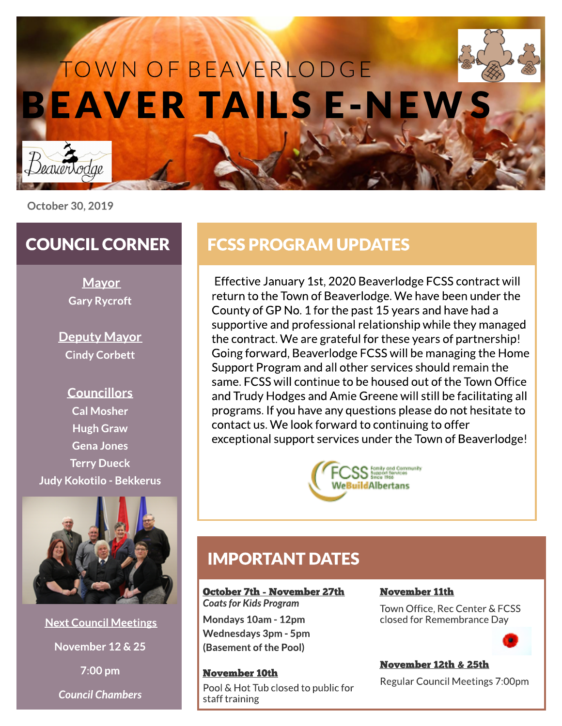

# BEAV ER TA ILS E-N EW S TOWN OF BEAVERLODGE

October 30, 2019

## COUNCIL CORNER

**Mayor** Gary Rycroft

Deputy Mayor Cindy Corbett

## **Councillors** Cal Mosher Hugh Graw Gena Jones **Terry Dueck** Judy Kokotilo - Bekkerus



Next Council Meetings

November 12 & 25

7:00 pm

**Council Chambers**

# FCSSPROGRAM UPDATES

Effective January 1st,2020 Beaverlodge FCSScontract will return to the Town of Beaverlodge.We have been under the County of GP No. 1 for the past 15 years and have had a supportive and professional relationship while they managed the contract. We are grateful for these years of partnership! Going forward, Beaverlodge FCSS will be managing the Home Support Program and all other services should remain the same.FCSSwill continue to be housed out of the Town Office and Trudy Hodges and Amie Greene will still be facilitating all programs. If you have any questions please do not hesitate to contact us.We look forward to continuing to offer exceptional support services under the Town of Beaverlodge!



## IMPORTANT DATES

October 7th - November 27th **Coats for Kids Program** 

Mondays10am - 12pm Wednesdays3pm - 5pm (Basement of the Pool)

November 10th Pool & Hot Tub closed to public for staff training

#### November 11th

Town Office, Rec Center & FCSS closed for Remembrance Day



#### November 12th & 25th

Regular Council Meetings 7:00pm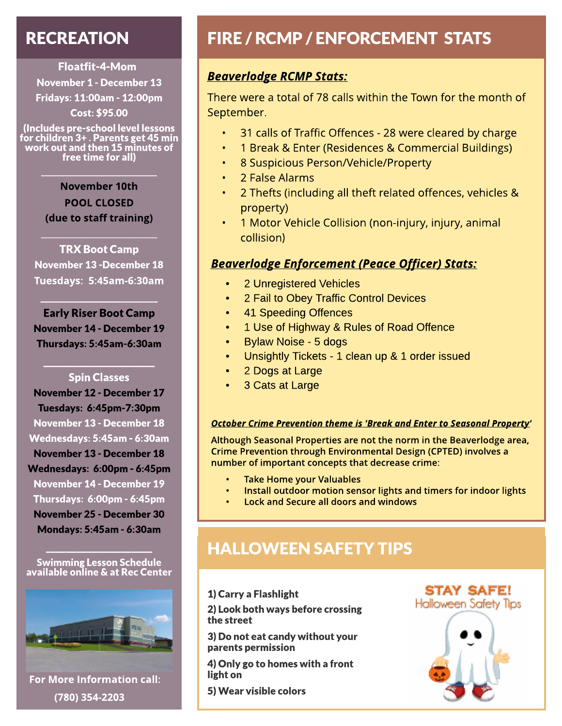# RECREATION

Floatfit-4-Mom November 1 - December 13 Fridays: 11:00am - 12:00pm Cost: \$95.00

(Includes pre-school level lessons for children 3+ .Parentsget 45 min work out and then 15 minutesof free time for all)

 $\mathcal{L}=\mathcal{L}^{\mathcal{L}}$  , where  $\mathcal{L}^{\mathcal{L}}$ 

November 10th POOL CLOSED (due to staff training)

TRX Boot Camp November 13 -December 18 Tuesdays: 5:45am -6:30am

 $\mathcal{L}_\text{max}$  , we are the set of the set of the set of the set of the set of the set of the set of the set of the set of the set of the set of the set of the set of the set of the set of the set of the set of the set of

Early Riser Boot Camp November 14 - December 19 Thursdays: 5:45am-6:30am

 $\_$ 

#### $\mathcal{L}_\text{max}$  , we can also the set of  $\mathcal{L}_\text{max}$ Spin Classes

November 12 - December 17 Tuesdays: 6:45pm-7:30pm November 13 - December 18 Wednesdays: 5:45am - 6:30am November 13 - December 18 Wednesdays: 6:00pm - 6:45pm November 14 - December 19 Thursdays: 6:00pm - 6:45pm November 25 - December 30 Mondays: 5:45am - 6:30am

Swimming Lesson Schedule available online & at Rec Center

 $\mathcal{L}=\mathcal{L}^{\mathcal{L}}$ 



For More Information call: (780) 354-2203

# FIRE / RCMP / ENFORCEMENT STATS

### **Beaverlodge RCMP Stats:**

There were a total of 78 calls within the Town for the month of September.

- 31 calls of Traffic Offences 28 were cleared by charge
- 1 Break & Enter (Residences & Commercial Buildings)
- 8 Suspicious Person/Vehicle/Property
- 2 False Alarms
- 2 Thefts (including all theft related offences, vehicles & property)
- 1 Motor Vehicle Collision (non-injury, injury, animal collision)

#### **Beaverlodge Enforcement (Peace Officer) Stats:**

- 2 Unregistered Vehicles
- 2 Fail to Obey Traffic Control Devices
- 41 Speeding Offences
- 1 Use of Highway & Rules of Road Offence
- Bylaw Noise 5 dogs
- Unsightly Tickets 1 clean up & 1 order issued
- 2 Dogs at Large
- 3 Cats at Large

#### **October Crime Prevention theme is'Break and Enter to Seasonal Property'**

Although Seasonal Properties are not the norm in the Beaverlodge area, Crime Prevention through Environmental Design (CPTED) involves a number of important concepts that decrease crime:

- **Take Home your Valuables**
- Install outdoor motion sensor lights and timers for indoor lights
- Lock and Secure all doors and windows

# HALLOWEEN SAFETY TIPS

#### 1) Carry a Flashlight

2) Look both ways before crossing the street

3) Do not eat candy without your parents permission

4) Only go to homeswith a front light on

5) Wear visible colors